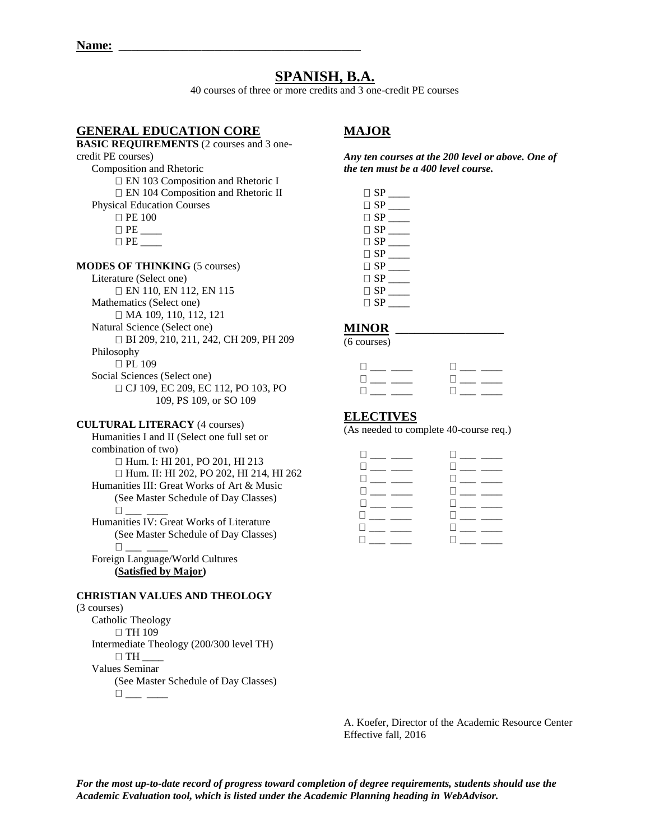# **SPANISH, B.A.**

40 courses of three or more credits and 3 one-credit PE courses

# **GENERAL EDUCATION CORE**

# **MAJOR**

**BASIC REQUIREMENTS** (2 courses and 3 one-

# credit PE courses)

Composition and Rhetoric

EN 103 Composition and Rhetoric I EN 104 Composition and Rhetoric II

Physical Education Courses

- **D** PE 100
- $\Box$   $PE$   $\qquad \qquad$
- $\Box$  PE

**MODES OF THINKING** (5 courses)

Literature (Select one) EN 110, EN 112, EN 115 Mathematics (Select one) MA 109, 110, 112, 121 Natural Science (Select one) BI 209, 210, 211, 242, CH 209, PH 209 Philosophy  $\Box$  PL 109 Social Sciences (Select one) CJ 109, EC 209, EC 112, PO 103, PO 109, PS 109, or SO 109

#### **CULTURAL LITERACY** (4 courses)

Humanities I and II (Select one full set or combination of two) □ Hum. I: HI 201, PO 201, HI 213 Hum. II: HI 202, PO 202, HI 214, HI 262 Humanities III: Great Works of Art & Music (See Master Schedule of Day Classes) \_\_\_ \_\_\_\_

Humanities IV: Great Works of Literature (See Master Schedule of Day Classes) \_\_\_ \_\_\_\_

Foreign Language/World Cultures **(Satisfied by Major)**

## **CHRISTIAN VALUES AND THEOLOGY**

#### (3 courses)

Catholic Theology □ TH 109 Intermediate Theology (200/300 level TH)  $\Box$  TH  $\_$ Values Seminar (See Master Schedule of Day Classes)  $\square_{\textit{max}} \textit{p}$ 

*Any ten courses at the 200 level or above. One of the ten must be a 400 level course.* 

| $\square$ SP   |  |
|----------------|--|
| $\square$ SP   |  |
| $\sqcap$ SP    |  |
| $\square$ SP   |  |
| $\square$ SP   |  |
| $\sqcap$ SP    |  |
| $\Box$ SP      |  |
| $\sqcap$ SP    |  |
| $\sqcap$ SP    |  |
| $\sqsupset$ SP |  |

#### **MINOR** \_\_\_\_\_\_\_\_\_\_\_\_\_\_\_\_\_

(6 courses)

| $\Box$                             |                                 |
|------------------------------------|---------------------------------|
| the property of the control of the | <b>III</b> and the second state |
| $\Box$                             |                                 |

#### **ELECTIVES**

(As needed to complete 40-course req.)

| ] ___ ____ ___                       | コ___ ____                               |
|--------------------------------------|-----------------------------------------|
| 0 <sub>——</sub> <sub>——</sub> —      |                                         |
| 0 ___ ____                           |                                         |
| 0 <sub>——</sub> <sub>——</sub>        | 0 <sub>—</sub> __ ___                   |
| 0 <sub>——</sub> <sub>——</sub>        | <b>Experience</b>                       |
|                                      | $\square_{\text{max}}$ and $\square$    |
| $\square$ ___ _____ $\square$        | $\square_{\text{}}\_\text{}}\_\text{}}$ |
| $\square_{\text{max}}$ and $\square$ | <b>Experience</b>                       |
|                                      |                                         |

A. Koefer, Director of the Academic Resource Center Effective fall, 2016

*For the most up-to-date record of progress toward completion of degree requirements, students should use the Academic Evaluation tool, which is listed under the Academic Planning heading in WebAdvisor.*